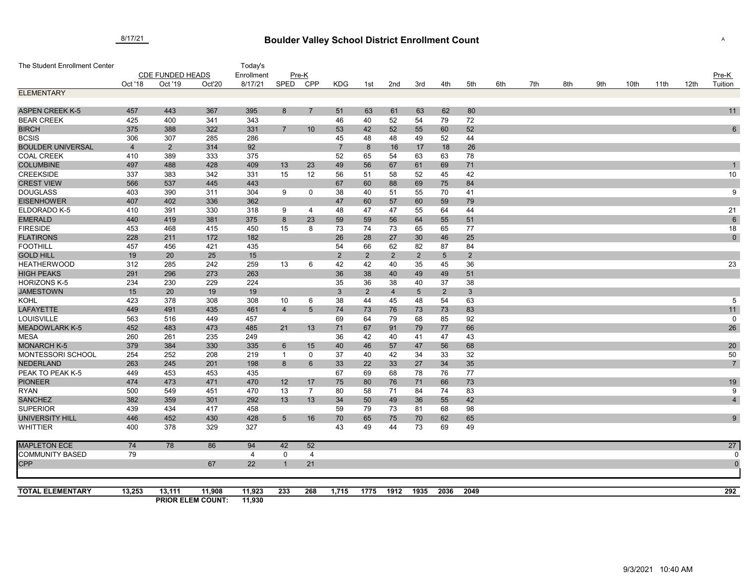## **Boulder Valley School District Enrollment Count** 8/17/21 <sup>A</sup>

| The Student Enrollment Center           |                         |                |                                    | Today's          |                |                |                |                |                |                |                 |                |     |     |     |     |      |      |      |                |
|-----------------------------------------|-------------------------|----------------|------------------------------------|------------------|----------------|----------------|----------------|----------------|----------------|----------------|-----------------|----------------|-----|-----|-----|-----|------|------|------|----------------|
|                                         | <b>CDE FUNDED HEADS</b> |                |                                    | Enrollment       |                | Pre-K          |                |                |                |                |                 |                |     |     |     |     |      |      |      | Pre-K          |
|                                         | Oct '18                 | Oct '19        | Oct'20                             | 8/17/21          | SPED           | CPP            | <b>KDG</b>     | 1st            | 2nd            | 3rd            | 4th             | 5th            | 6th | 7th | 8th | 9th | 10th | 11th | 12th | Tuition        |
| <b>ELEMENTARY</b>                       |                         |                |                                    |                  |                |                |                |                |                |                |                 |                |     |     |     |     |      |      |      |                |
|                                         |                         |                |                                    |                  |                |                |                |                |                |                |                 |                |     |     |     |     |      |      |      |                |
| <b>ASPEN CREEK K-5</b>                  | 457                     | 443            | 367                                | 395              | 8              | $\overline{7}$ | 51             | 63             | 61             | 63             | 62              | 80             |     |     |     |     |      |      |      | 11             |
| <b>BEAR CREEK</b>                       | 425                     | 400            | 341                                | 343              |                |                | 46             | 40             | 52             | 54             | 79              | 72             |     |     |     |     |      |      |      |                |
| <b>BIRCH</b>                            | 375                     | 388            | 322                                | 331              | $\overline{7}$ | 10             | 53             | 42             | 52             | 55             | 60              | 52             |     |     |     |     |      |      |      | $6\phantom{.}$ |
| <b>BCSIS</b>                            | 306                     | 307            | 285                                | 286              |                |                | 45             | 48             | 48             | 49             | 52              | 44             |     |     |     |     |      |      |      |                |
| <b>BOULDER UNIVERSAL</b>                | $\overline{4}$          | $\overline{2}$ | 314                                | 92               |                |                | $\overline{7}$ | 8              | 16             | 17             | 18              | 26             |     |     |     |     |      |      |      |                |
| <b>COAL CREEK</b>                       | 410                     | 389            | 333                                | 375              |                |                | 52             | 65             | 54             | 63             | 63              | 78             |     |     |     |     |      |      |      |                |
| <b>COLUMBINE</b>                        | 497                     | 488            | 428                                | 409              | 13             | 23             | 49             | 56             | 67             | 61             | 69              | 71             |     |     |     |     |      |      |      |                |
| <b>CREEKSIDE</b>                        | 337                     | 383            | 342                                | 331              | 15             | 12             | 56             | 51             | 58             | 52             | 45              | 42             |     |     |     |     |      |      |      | 10             |
| <b>CREST VIEW</b>                       | 566                     | 537            | 445                                | 443              |                |                | 67             | 60             | 88             | 69             | 75              | 84             |     |     |     |     |      |      |      |                |
| <b>DOUGLASS</b>                         | 403                     | 390            | 311                                | 304              | 9              | 0              | 38             | 40             | 51             | 55             | 70              | 41             |     |     |     |     |      |      |      | 9              |
| <b>EISENHOWER</b>                       | 407                     | 402            | 336                                | 362              |                |                | 47             | 60             | 57             | 60             | 59              | 79             |     |     |     |     |      |      |      |                |
| ELDORADO K-5                            | 410                     | 391            | 330                                | 318              | 9              | $\overline{4}$ | 48             | 47             | 47             | 55             | 64              | 44             |     |     |     |     |      |      |      | 21             |
| <b>EMERALD</b>                          | 440                     | 419            | 381                                | 375              | 8              | 23             | 59             | 59             | 56             | 64             | 55              | 51             |     |     |     |     |      |      |      | $6\phantom{.}$ |
| <b>FIRESIDE</b>                         | 453                     | 468            | 415                                | 450              | 15             | 8              | 73             | 74             | 73             | 65             | 65              | 77             |     |     |     |     |      |      |      | 18             |
| <b>FLATIRONS</b>                        | 228                     | 211            | 172                                | 182              |                |                | 26             | 28             | 27             | 30             | 46              | 25             |     |     |     |     |      |      |      | $\mathbf 0$    |
| <b>FOOTHILL</b><br><b>GOLD HILL</b>     | 457                     | 456            | 421                                | 435              |                |                | 54             | 66             | 62             | 82             | 87              | 84             |     |     |     |     |      |      |      |                |
|                                         | 19<br>312               | 20<br>285      | 25                                 | 15               |                |                | $\overline{2}$ | $\overline{2}$ | $\overline{2}$ | 2              | $5\phantom{.0}$ | $\overline{2}$ |     |     |     |     |      |      |      |                |
| <b>HEATHERWOOD</b><br><b>HIGH PEAKS</b> | 291                     | 296            | 242<br>273                         | 259<br>263       | 13             | 6              | 42             | 42             | 40             | 35             | 45<br>49        | 36             |     |     |     |     |      |      |      | 23             |
| <b>HORIZONS K-5</b>                     | 234                     | 230            | 229                                | 224              |                |                | 36<br>35       | 38<br>36       | 40<br>38       | 49<br>40       | 37              | 51<br>38       |     |     |     |     |      |      |      |                |
| <b>JAMESTOWN</b>                        | 15                      | 20             | 19                                 | 19               |                |                | $\mathbf{3}$   | $\overline{2}$ | $\overline{4}$ | $\overline{5}$ | $\overline{2}$  | $3\phantom{a}$ |     |     |     |     |      |      |      |                |
| <b>KOHL</b>                             | 423                     | 378            | 308                                | 308              | 10             | 6              | 38             | 44             | 45             | 48             | 54              | 63             |     |     |     |     |      |      |      | 5              |
| <b>LAFAYETTE</b>                        | 449                     | 491            | 435                                | 461              | $\overline{4}$ | 5              | 74             | 73             | 76             | 73             | 73              | 83             |     |     |     |     |      |      |      | 11             |
| <b>LOUISVILLE</b>                       | 563                     | 516            | 449                                | 457              |                |                | 69             | 64             | 79             | 68             | 85              | 92             |     |     |     |     |      |      |      | $\mathbf 0$    |
| <b>MEADOWLARK K-5</b>                   | 452                     | 483            | 473                                | 485              | 21             | 13             | 71             | 67             | 91             | 79             | 77              | 66             |     |     |     |     |      |      |      | 26             |
| <b>MESA</b>                             | 260                     | 261            | 235                                | 249              |                |                | 36             | 42             | 40             | 41             | 47              | 43             |     |     |     |     |      |      |      |                |
| <b>MONARCH K-5</b>                      | 379                     | 384            | 330                                | 335              | 6              | 15             | 40             | 46             | 57             | 47             | 56              | 68             |     |     |     |     |      |      |      | 20             |
| MONTESSORI SCHOOL                       | 254                     | 252            | 208                                | 219              | $\overline{1}$ | 0              | 37             | 40             | 42             | 34             | 33              | 32             |     |     |     |     |      |      |      | 50             |
| <b>NEDERLAND</b>                        | 263                     | 245            | 201                                | 198              | 8              | 6              | 33             | 22             | 33             | 27             | 34              | 35             |     |     |     |     |      |      |      | $\overline{7}$ |
| PEAK TO PEAK K-5                        | 449                     | 453            | 453                                | 435              |                |                | 67             | 69             | 68             | 78             | 76              | 77             |     |     |     |     |      |      |      |                |
| <b>PIONEER</b>                          | 474                     | 473            | 471                                | 470              | 12             | 17             | 75             | 80             | 76             | 71             | 66              | 73             |     |     |     |     |      |      |      | 19             |
| <b>RYAN</b>                             | 500                     | 549            | 451                                | 470              | 13             | $\overline{7}$ | 80             | 58             | 71             | 84             | 74              | 83             |     |     |     |     |      |      |      | 9              |
| <b>SANCHEZ</b>                          | 382                     | 359            | 301                                | 292              | 13             | 13             | 34             | 50             | 49             | 36             | 55              | 42             |     |     |     |     |      |      |      | $\overline{4}$ |
| <b>SUPERIOR</b>                         | 439                     | 434            | 417                                | 458              |                |                | 59             | 79             | 73             | 81             | 68              | 98             |     |     |     |     |      |      |      |                |
| <b>UNIVERSITY HILL</b>                  | 446                     | 452            | 430                                | 428              | 5              | 16             | 70             | 65             | 75             | 70             | 62              | 65             |     |     |     |     |      |      |      | 9              |
| <b>WHITTIER</b>                         | 400                     | 378            | 329                                | 327              |                |                | 43             | 49             | 44             | 73             | 69              | 49             |     |     |     |     |      |      |      |                |
| <b>MAPLETON ECE</b>                     | 74                      | 78             | 86                                 | 94               | 42             | 52             |                |                |                |                |                 |                |     |     |     |     |      |      |      | 27             |
| <b>COMMUNITY BASED</b>                  | 79                      |                |                                    | 4                | 0              | 4              |                |                |                |                |                 |                |     |     |     |     |      |      |      |                |
| <b>CPP</b>                              |                         |                | 67                                 | 22               | -1             | 21             |                |                |                |                |                 |                |     |     |     |     |      |      |      | $\overline{0}$ |
|                                         |                         |                |                                    |                  |                |                |                |                |                |                |                 |                |     |     |     |     |      |      |      |                |
| <b>TOTAL ELEMENTARY</b>                 | 13,253                  | 13,111         | 11,908<br><b>PRIOR ELEM COUNT:</b> | 11,923<br>11,930 | 233            | 268            | 1,715          | 1775           | 1912           | 1935           | 2036            | 2049           |     |     |     |     |      |      |      | 292            |